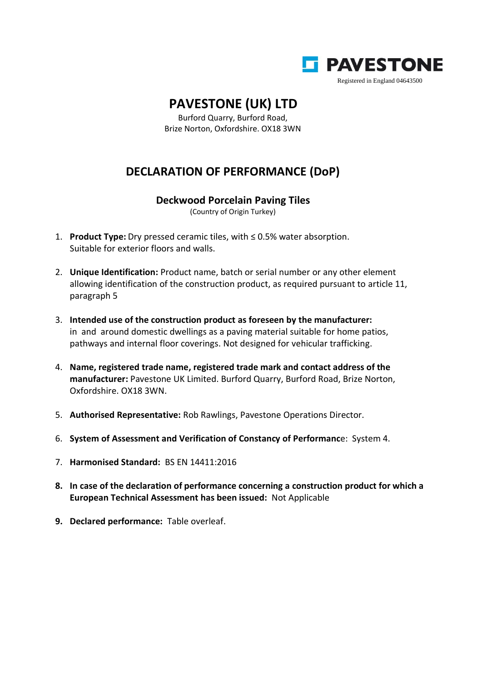

## **PAVESTONE (UK) LTD**

Burford Quarry, Burford Road, Brize Norton, Oxfordshire. OX18 3WN

## **DECLARATION OF PERFORMANCE (DoP)**

## **Deckwood Porcelain Paving Tiles**

(Country of Origin Turkey)

- 1. **Product Type:** Dry pressed ceramic tiles, with ≤ 0.5% water absorption. Suitable for exterior floors and walls.
- 2. **Unique Identification:** Product name, batch or serial number or any other element allowing identification of the construction product, as required pursuant to article 11, paragraph 5
- 3. **Intended use of the construction product as foreseen by the manufacturer:** in and around domestic dwellings as a paving material suitable for home patios, pathways and internal floor coverings. Not designed for vehicular trafficking.
- 4. **Name, registered trade name, registered trade mark and contact address of the manufacturer:** Pavestone UK Limited. Burford Quarry, Burford Road, Brize Norton, Oxfordshire. OX18 3WN.
- 5. **Authorised Representative:** Rob Rawlings, Pavestone Operations Director.
- 6. **System of Assessment and Verification of Constancy of Performanc**e: System 4.
- 7. **Harmonised Standard:** BS EN 14411:2016
- **8. In case of the declaration of performance concerning a construction product for which a European Technical Assessment has been issued:** Not Applicable
- **9. Declared performance:** Table overleaf.